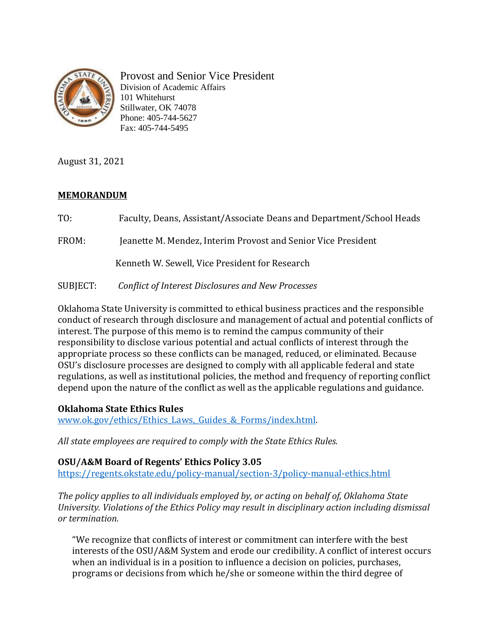

Provost and Senior Vice President Division of Academic Affairs 101 Whitehurst Stillwater, OK 74078 Phone: 405-744-5627 Fax: 405-744-5495

August 31, 2021

## **MEMORANDUM**

TO: Faculty, Deans, Assistant/Associate Deans and Department/School Heads FROM: Jeanette M. Mendez, Interim Provost and Senior Vice President Kenneth W. Sewell, Vice President for Research SUBJECT: *Conflict of Interest Disclosures and New Processes* 

Oklahoma State University is committed to ethical business practices and the responsible conduct of research through disclosure and management of actual and potential conflicts of interest. The purpose of this memo is to remind the campus community of their responsibility to disclose various potential and actual conflicts of interest through the appropriate process so these conflicts can be managed, reduced, or eliminated. Because OSU's disclosure processes are designed to comply with all applicable federal and state regulations, as well as institutional policies, the method and frequency of reporting conflict depend upon the nature of the conflict as well as the applicable regulations and guidance.

#### **Oklahoma State Ethics Rules**

www.ok.gov/ethics/Ethics Laws, Guides & Forms/index.html.

*All state employees are required to comply with the State Ethics Rules.*

**OSU/A&M Board of Regents' Ethics Policy 3.05** 

[https://regents.okstate.edu/policy-manual/section-3/policy-manual-ethics.html](https://nam04.safelinks.protection.outlook.com/?url=https%3A%2F%2Fregents.okstate.edu%2Fpolicy-manual%2Fsection-3%2Fpolicy-manual-ethics.html&data=04%7C01%7Cnick.stevens%40okstate.edu%7C8104a63e638f4feb9eb608d96cafd8b0%7C2a69c91de8494e34a230cdf8b27e1964%7C0%7C0%7C637660325970229158%7CUnknown%7CTWFpbGZsb3d8eyJWIjoiMC4wLjAwMDAiLCJQIjoiV2luMzIiLCJBTiI6Ik1haWwiLCJXVCI6Mn0%3D%7C1000&sdata=XMaiXeZG3BLaiK0LSl8nEYlnBlCilRWaCQKw%2BmtsAyk%3D&reserved=0)

*The policy applies to all individuals employed by, or acting on behalf of, Oklahoma State University. Violations of the Ethics Policy may result in disciplinary action including dismissal or termination.*

"We recognize that conflicts of interest or commitment can interfere with the best interests of the OSU/A&M System and erode our credibility. A conflict of interest occurs when an individual is in a position to influence a decision on policies, purchases, programs or decisions from which he/she or someone within the third degree of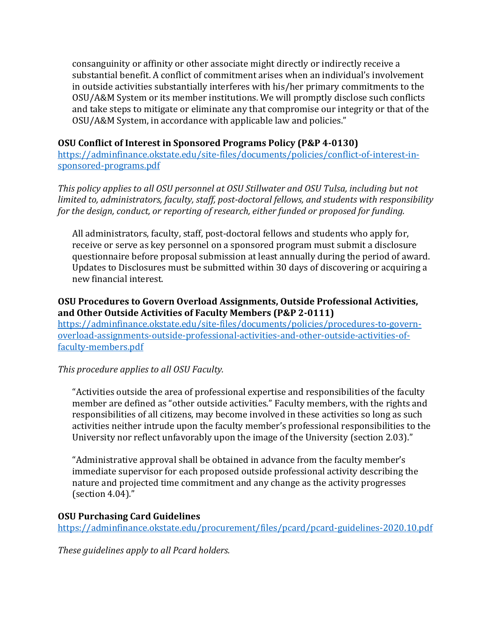consanguinity or affinity or other associate might directly or indirectly receive a substantial benefit. A conflict of commitment arises when an individual's involvement in outside activities substantially interferes with his/her primary commitments to the OSU/A&M System or its member institutions. We will promptly disclose such conflicts and take steps to mitigate or eliminate any that compromise our integrity or that of the OSU/A&M System, in accordance with applicable law and policies."

#### **OSU Conflict of Interest in Sponsored Programs Policy (P&P 4-0130)**

[https://adminfinance.okstate.edu/site-files/documents/policies/conflict-of-interest-in](https://nam04.safelinks.protection.outlook.com/?url=https%3A%2F%2Fadminfinance.okstate.edu%2Fsite-files%2Fdocuments%2Fpolicies%2Fconflict-of-interest-in-sponsored-programs.pdf&data=04%7C01%7Cnick.stevens%40okstate.edu%7C8104a63e638f4feb9eb608d96cafd8b0%7C2a69c91de8494e34a230cdf8b27e1964%7C0%7C0%7C637660325970229158%7CUnknown%7CTWFpbGZsb3d8eyJWIjoiMC4wLjAwMDAiLCJQIjoiV2luMzIiLCJBTiI6Ik1haWwiLCJXVCI6Mn0%3D%7C1000&sdata=w6SjQ0MntiJVWt%2B87ZI8GYCtbzlyGV6xnMDCaoZKl7w%3D&reserved=0)[sponsored-programs.pdf](https://nam04.safelinks.protection.outlook.com/?url=https%3A%2F%2Fadminfinance.okstate.edu%2Fsite-files%2Fdocuments%2Fpolicies%2Fconflict-of-interest-in-sponsored-programs.pdf&data=04%7C01%7Cnick.stevens%40okstate.edu%7C8104a63e638f4feb9eb608d96cafd8b0%7C2a69c91de8494e34a230cdf8b27e1964%7C0%7C0%7C637660325970229158%7CUnknown%7CTWFpbGZsb3d8eyJWIjoiMC4wLjAwMDAiLCJQIjoiV2luMzIiLCJBTiI6Ik1haWwiLCJXVCI6Mn0%3D%7C1000&sdata=w6SjQ0MntiJVWt%2B87ZI8GYCtbzlyGV6xnMDCaoZKl7w%3D&reserved=0)

*This policy applies to all OSU personnel at OSU Stillwater and OSU Tulsa, including but not limited to, administrators, faculty, staff, post-doctoral fellows, and students with responsibility for the design, conduct, or reporting of research, either funded or proposed for funding.*

All administrators, faculty, staff, post-doctoral fellows and students who apply for, receive or serve as key personnel on a sponsored program must submit a disclosure questionnaire before proposal submission at least annually during the period of award. Updates to Disclosures must be submitted within 30 days of discovering or acquiring a new financial interest.

## **OSU Procedures to Govern Overload Assignments, Outside Professional Activities, and Other Outside Activities of Faculty Members (P&P 2-0111)**

[https://adminfinance.okstate.edu/site-files/documents/policies/procedures-to-govern](https://nam04.safelinks.protection.outlook.com/?url=https%3A%2F%2Fadminfinance.okstate.edu%2Fsite-files%2Fdocuments%2Fpolicies%2Fprocedures-to-govern-overload-assignments-outside-professional-activities-and-other-outside-activities-of-faculty-members.pdf&data=04%7C01%7Cnick.stevens%40okstate.edu%7C8104a63e638f4feb9eb608d96cafd8b0%7C2a69c91de8494e34a230cdf8b27e1964%7C0%7C0%7C637660325970239117%7CUnknown%7CTWFpbGZsb3d8eyJWIjoiMC4wLjAwMDAiLCJQIjoiV2luMzIiLCJBTiI6Ik1haWwiLCJXVCI6Mn0%3D%7C1000&sdata=35%2Bt9y592S3zd5Mo%2F2RGd4oUd9%2B0DJQU3gNxv57h4DI%3D&reserved=0)[overload-assignments-outside-professional-activities-and-other-outside-activities-of](https://nam04.safelinks.protection.outlook.com/?url=https%3A%2F%2Fadminfinance.okstate.edu%2Fsite-files%2Fdocuments%2Fpolicies%2Fprocedures-to-govern-overload-assignments-outside-professional-activities-and-other-outside-activities-of-faculty-members.pdf&data=04%7C01%7Cnick.stevens%40okstate.edu%7C8104a63e638f4feb9eb608d96cafd8b0%7C2a69c91de8494e34a230cdf8b27e1964%7C0%7C0%7C637660325970239117%7CUnknown%7CTWFpbGZsb3d8eyJWIjoiMC4wLjAwMDAiLCJQIjoiV2luMzIiLCJBTiI6Ik1haWwiLCJXVCI6Mn0%3D%7C1000&sdata=35%2Bt9y592S3zd5Mo%2F2RGd4oUd9%2B0DJQU3gNxv57h4DI%3D&reserved=0)[faculty-members.pdf](https://nam04.safelinks.protection.outlook.com/?url=https%3A%2F%2Fadminfinance.okstate.edu%2Fsite-files%2Fdocuments%2Fpolicies%2Fprocedures-to-govern-overload-assignments-outside-professional-activities-and-other-outside-activities-of-faculty-members.pdf&data=04%7C01%7Cnick.stevens%40okstate.edu%7C8104a63e638f4feb9eb608d96cafd8b0%7C2a69c91de8494e34a230cdf8b27e1964%7C0%7C0%7C637660325970239117%7CUnknown%7CTWFpbGZsb3d8eyJWIjoiMC4wLjAwMDAiLCJQIjoiV2luMzIiLCJBTiI6Ik1haWwiLCJXVCI6Mn0%3D%7C1000&sdata=35%2Bt9y592S3zd5Mo%2F2RGd4oUd9%2B0DJQU3gNxv57h4DI%3D&reserved=0)

# *This procedure applies to all OSU Faculty.*

"Activities outside the area of professional expertise and responsibilities of the faculty member are defined as "other outside activities." Faculty members, with the rights and responsibilities of all citizens, may become involved in these activities so long as such activities neither intrude upon the faculty member's professional responsibilities to the University nor reflect unfavorably upon the image of the University (section 2.03)."

"Administrative approval shall be obtained in advance from the faculty member's immediate supervisor for each proposed outside professional activity describing the nature and projected time commitment and any change as the activity progresses (section 4.04)."

# **OSU Purchasing Card Guidelines**

[https://adminfinance.okstate.edu/procurement/files/pcard/pcard-guidelines-2020.10.pdf](https://nam04.safelinks.protection.outlook.com/?url=https%3A%2F%2Fadminfinance.okstate.edu%2Fprocurement%2Ffiles%2Fpcard%2Fpcard-guidelines-2020.10.pdf&data=04%7C01%7Cnick.stevens%40okstate.edu%7C8104a63e638f4feb9eb608d96cafd8b0%7C2a69c91de8494e34a230cdf8b27e1964%7C0%7C0%7C637660325970239117%7CUnknown%7CTWFpbGZsb3d8eyJWIjoiMC4wLjAwMDAiLCJQIjoiV2luMzIiLCJBTiI6Ik1haWwiLCJXVCI6Mn0%3D%7C1000&sdata=%2BSeT%2BvTQ4Hko1xfvjl3c3lCj0LebMRUzdo26Z2Ug8bo%3D&reserved=0)

*These guidelines apply to all Pcard holders.*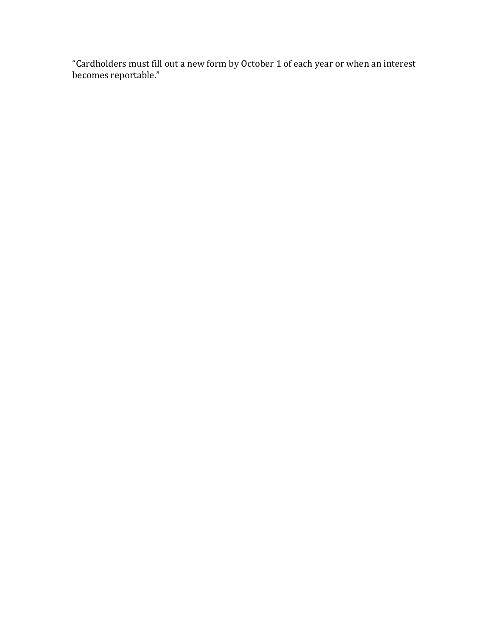"Cardholders must fill out a new form by October 1 of each year or when an interest becomes reportable."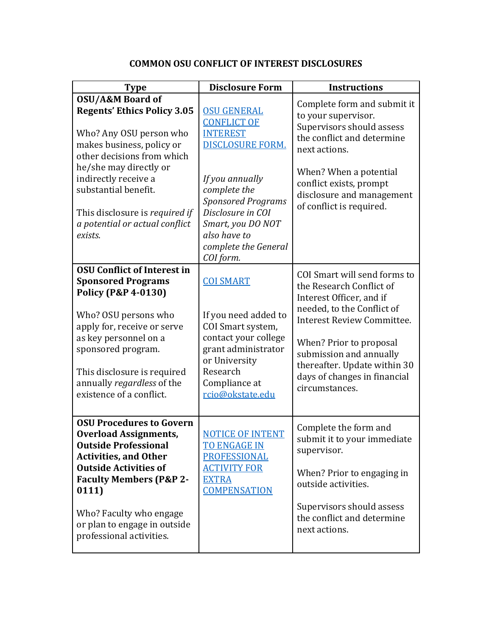| <b>Type</b>                                                                                                                                                                                                                                                                                                      | <b>Disclosure Form</b>                                                                                                                                                         | <b>Instructions</b>                                                                                                                                                                                                                                                                             |
|------------------------------------------------------------------------------------------------------------------------------------------------------------------------------------------------------------------------------------------------------------------------------------------------------------------|--------------------------------------------------------------------------------------------------------------------------------------------------------------------------------|-------------------------------------------------------------------------------------------------------------------------------------------------------------------------------------------------------------------------------------------------------------------------------------------------|
| <b>OSU/A&amp;M Board of</b><br><b>Regents' Ethics Policy 3.05</b><br>Who? Any OSU person who<br>makes business, policy or<br>other decisions from which<br>he/she may directly or<br>indirectly receive a<br>substantial benefit.<br>This disclosure is required if<br>a potential or actual conflict<br>exists. | <b>OSU GENERAL</b><br><b>CONFLICT OF</b><br><b>INTEREST</b><br><b>DISCLOSURE FORM.</b>                                                                                         | Complete form and submit it<br>to your supervisor.<br>Supervisors should assess<br>the conflict and determine<br>next actions.<br>When? When a potential<br>conflict exists, prompt<br>disclosure and management<br>of conflict is required.                                                    |
|                                                                                                                                                                                                                                                                                                                  | If you annually<br>complete the<br><b>Sponsored Programs</b><br>Disclosure in COI<br>Smart, you DO NOT<br>also have to<br>complete the General<br>COI form.                    |                                                                                                                                                                                                                                                                                                 |
| <b>OSU Conflict of Interest in</b><br><b>Sponsored Programs</b><br><b>Policy (P&amp;P 4-0130)</b><br>Who? OSU persons who<br>apply for, receive or serve<br>as key personnel on a<br>sponsored program.<br>This disclosure is required<br>annually regardless of the<br>existence of a conflict.                 | <b>COI SMART</b><br>If you need added to<br>COI Smart system,<br>contact your college<br>grant administrator<br>or University<br>Research<br>Compliance at<br>rcio@okstate.edu | COI Smart will send forms to<br>the Research Conflict of<br>Interest Officer, and if<br>needed, to the Conflict of<br><b>Interest Review Committee.</b><br>When? Prior to proposal<br>submission and annually<br>thereafter. Update within 30<br>days of changes in financial<br>circumstances. |
| <b>OSU Procedures to Govern</b><br><b>Overload Assignments,</b><br><b>Outside Professional</b><br><b>Activities, and Other</b><br><b>Outside Activities of</b><br><b>Faculty Members (P&amp;P 2-</b><br>0111)<br>Who? Faculty who engage<br>or plan to engage in outside<br>professional activities.             | <b>NOTICE OF INTENT</b><br><b>TO ENGAGE IN</b><br><b>PROFESSIONAL</b><br><b>ACTIVITY FOR</b><br><b>EXTRA</b><br><b>COMPENSATION</b>                                            | Complete the form and<br>submit it to your immediate<br>supervisor.<br>When? Prior to engaging in<br>outside activities.<br>Supervisors should assess<br>the conflict and determine<br>next actions.                                                                                            |

# **COMMON OSU CONFLICT OF INTEREST DISCLOSURES**